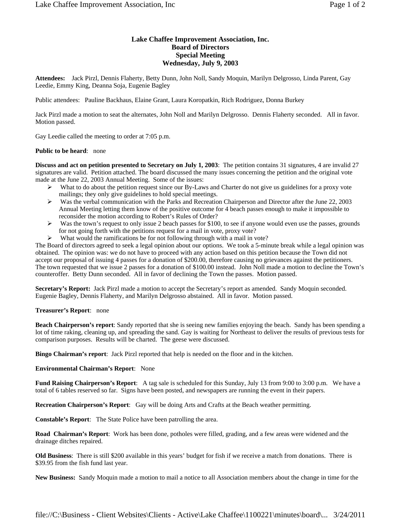## **Lake Chaffee Improvement Association, Inc. Board of Directors Special Meeting Wednesday, July 9, 2003**

**Attendees:** Jack Pirzl, Dennis Flaherty, Betty Dunn, John Noll, Sandy Moquin, Marilyn Delgrosso, Linda Parent, Gay Leedie, Emmy King, Deanna Soja, Eugenie Bagley

Public attendees: Pauline Backhaus, Elaine Grant, Laura Koropatkin, Rich Rodriguez, Donna Burkey

Jack Pirzl made a motion to seat the alternates, John Noll and Marilyn Delgrosso. Dennis Flaherty seconded. All in favor. Motion passed.

Gay Leedie called the meeting to order at 7:05 p.m.

## **Public to be heard**: none

**Discuss and act on petition presented to Secretary on July 1, 2003**: The petition contains 31 signatures, 4 are invalid 27 signatures are valid. Petition attached. The board discussed the many issues concerning the petition and the original vote made at the June 22, 2003 Annual Meeting. Some of the issues:

- $\triangleright$  What to do about the petition request since our By-Laws and Charter do not give us guidelines for a proxy vote mailings; they only give guidelines to hold special meetings.
- Was the verbal communication with the Parks and Recreation Chairperson and Director after the June 22, 2003 Annual Meeting letting them know of the positive outcome for 4 beach passes enough to make it impossible to reconsider the motion according to Robert's Rules of Order?
- Was the town's request to only issue 2 beach passes for \$100, to see if anyone would even use the passes, grounds for not going forth with the petitions request for a mail in vote, proxy vote?
- $\triangleright$  What would the ramifications be for not following through with a mail in vote?

The Board of directors agreed to seek a legal opinion about our options. We took a 5-minute break while a legal opinion was obtained. The opinion was: we do not have to proceed with any action based on this petition because the Town did not accept our proposal of issuing 4 passes for a donation of \$200.00, therefore causing no grievances against the petitioners. The town requested that we issue 2 passes for a donation of \$100.00 instead. John Noll made a motion to decline the Town's counteroffer. Betty Dunn seconded. All in favor of declining the Town the passes. Motion passed.

**Secretary's Report:** Jack Pirzl made a motion to accept the Secretary's report as amended. Sandy Moquin seconded. Eugenie Bagley, Dennis Flaherty, and Marilyn Delgrosso abstained. All in favor. Motion passed.

## **Treasurer's Report**: none

**Beach Chairperson's report**: Sandy reported that she is seeing new families enjoying the beach. Sandy has been spending a lot of time raking, cleaning up, and spreading the sand. Gay is waiting for Northeast to deliver the results of previous tests for comparison purposes. Results will be charted. The geese were discussed.

**Bingo Chairman's report**: Jack Pirzl reported that help is needed on the floor and in the kitchen.

## **Environmental Chairman's Report**: None

**Fund Raising Chairperson's Report**: A tag sale is scheduled for this Sunday, July 13 from 9:00 to 3:00 p.m. We have a total of 6 tables reserved so far. Signs have been posted, and newspapers are running the event in their papers.

**Recreation Chairperson's Report**: Gay will be doing Arts and Crafts at the Beach weather permitting.

**Constable's Report**: The State Police have been patrolling the area.

**Road Chairman's Report**: Work has been done, potholes were filled, grading, and a few areas were widened and the drainage ditches repaired.

**Old Business**: There is still \$200 available in this years' budget for fish if we receive a match from donations. There is \$39.95 from the fish fund last year.

**New Business:** Sandy Moquin made a motion to mail a notice to all Association members about the change in time for the